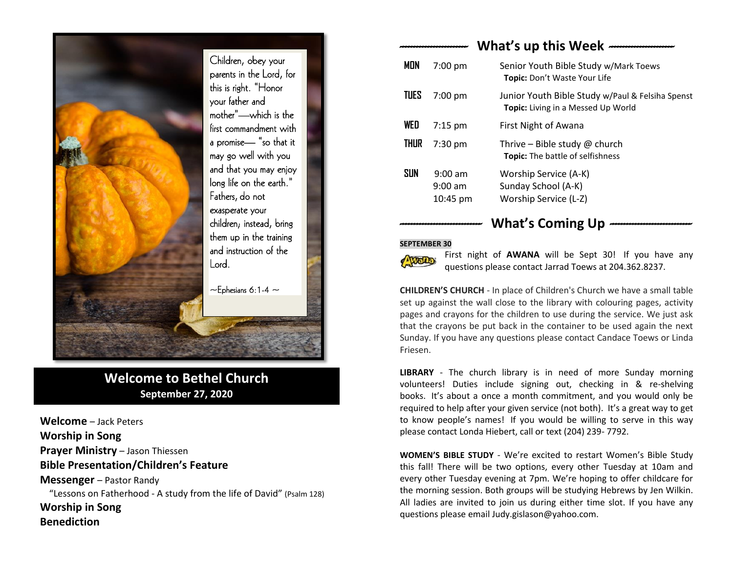

# **Welcome to Bethel Church September 27, 2020**

**Welcome** – Jack Peters **Worship in Song Prayer Ministry** – Jason Thiessen **Bible Presentation/Children's Feature Messenger** – Pastor Randy "Lessons on Fatherhood - A study from the life of David" (Psalm 128) **Worship in Song Benediction**

# *------------------------* **What's up this Week** *-----------------------*

| <b>MON</b>  | $7:00$ pm                                    | Senior Youth Bible Study w/Mark Toews<br>Topic: Don't Waste Your Life                         |
|-------------|----------------------------------------------|-----------------------------------------------------------------------------------------------|
| <b>TUES</b> | $7:00$ pm                                    | Junior Youth Bible Study w/Paul & Felsiha Spenst<br><b>Topic:</b> Living in a Messed Up World |
| WED         | $7:15$ pm                                    | First Night of Awana                                                                          |
| THUR        | $7:30 \text{ pm}$                            | Thrive – Bible study $\omega$ church<br><b>Topic:</b> The battle of selfishness               |
| SUN         | $9:00$ am<br>$9:00$ am<br>$10:45 \text{ pm}$ | Worship Service (A-K)<br>Sunday School (A-K)<br>Worship Service (L-Z)                         |

## *-----------------------------* **What's Coming Up** *-----------------------------*

#### **SEPTEMBER 30**



First night of **AWANA** will be Sept 30! If you have any questions please contact Jarrad Toews at 204.362.8237.

**CHILDREN'S CHURCH** - In place of Children's Church we have a small table set up against the wall close to the library with colouring pages, activity pages and crayons for the children to use during the service. We just ask that the crayons be put back in the container to be used again the next Sunday. If you have any questions please contact Candace Toews or Linda Friesen.

**LIBRARY** - The church library is in need of more Sunday morning volunteers! Duties include signing out, checking in & re-shelving books. It's about a once a month commitment, and you would only be required to help after your given service (not both). It's a great way to get to know people's names! If you would be willing to serve in this way please contact Londa Hiebert, call or text (204) 239- 7792.

**WOMEN'S BIBLE STUDY** - We're excited to restart Women's Bible Study this fall! There will be two options, every other Tuesday at 10am and every other Tuesday evening at 7pm. We're hoping to offer childcare for the morning session. Both groups will be studying Hebrews by Jen Wilkin. All ladies are invited to join us during either time slot. If you have any questions please email Judy.gislason@yahoo.com.